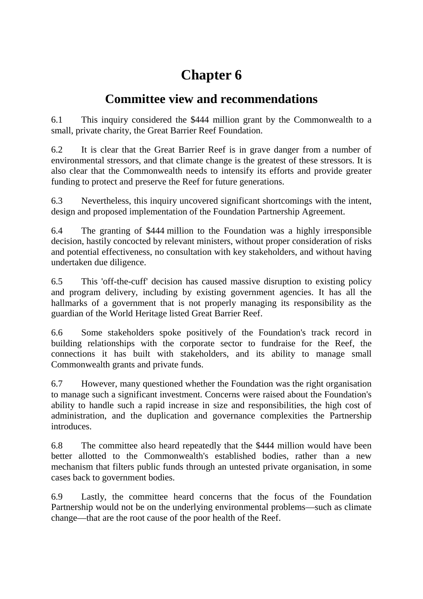# **Chapter 6**

## **Committee view and recommendations**

6.1 This inquiry considered the \$444 million grant by the Commonwealth to a small, private charity, the Great Barrier Reef Foundation.

6.2 It is clear that the Great Barrier Reef is in grave danger from a number of environmental stressors, and that climate change is the greatest of these stressors. It is also clear that the Commonwealth needs to intensify its efforts and provide greater funding to protect and preserve the Reef for future generations.

6.3 Nevertheless, this inquiry uncovered significant shortcomings with the intent, design and proposed implementation of the Foundation Partnership Agreement.

6.4 The granting of \$444 million to the Foundation was a highly irresponsible decision, hastily concocted by relevant ministers, without proper consideration of risks and potential effectiveness, no consultation with key stakeholders, and without having undertaken due diligence.

6.5 This 'off-the-cuff' decision has caused massive disruption to existing policy and program delivery, including by existing government agencies. It has all the hallmarks of a government that is not properly managing its responsibility as the guardian of the World Heritage listed Great Barrier Reef.

6.6 Some stakeholders spoke positively of the Foundation's track record in building relationships with the corporate sector to fundraise for the Reef, the connections it has built with stakeholders, and its ability to manage small Commonwealth grants and private funds.

6.7 However, many questioned whether the Foundation was the right organisation to manage such a significant investment. Concerns were raised about the Foundation's ability to handle such a rapid increase in size and responsibilities, the high cost of administration, and the duplication and governance complexities the Partnership introduces.

6.8 The committee also heard repeatedly that the \$444 million would have been better allotted to the Commonwealth's established bodies, rather than a new mechanism that filters public funds through an untested private organisation, in some cases back to government bodies.

6.9 Lastly, the committee heard concerns that the focus of the Foundation Partnership would not be on the underlying environmental problems—such as climate change—that are the root cause of the poor health of the Reef.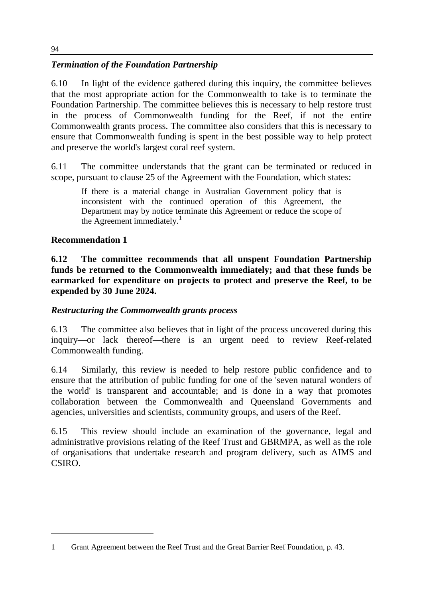## *Termination of the Foundation Partnership*

6.10 In light of the evidence gathered during this inquiry, the committee believes that the most appropriate action for the Commonwealth to take is to terminate the Foundation Partnership. The committee believes this is necessary to help restore trust in the process of Commonwealth funding for the Reef, if not the entire Commonwealth grants process. The committee also considers that this is necessary to ensure that Commonwealth funding is spent in the best possible way to help protect and preserve the world's largest coral reef system.

6.11 The committee understands that the grant can be terminated or reduced in scope, pursuant to clause 25 of the Agreement with the Foundation, which states:

If there is a material change in Australian Government policy that is inconsistent with the continued operation of this Agreement, the Department may by notice terminate this Agreement or reduce the scope of the Agreement immediately.<sup>[1](#page-1-0)</sup>

#### **Recommendation 1**

-

**6.12 The committee recommends that all unspent Foundation Partnership funds be returned to the Commonwealth immediately; and that these funds be earmarked for expenditure on projects to protect and preserve the Reef, to be expended by 30 June 2024.**

#### *Restructuring the Commonwealth grants process*

6.13 The committee also believes that in light of the process uncovered during this inquiry—or lack thereof—there is an urgent need to review Reef-related Commonwealth funding.

6.14 Similarly, this review is needed to help restore public confidence and to ensure that the attribution of public funding for one of the 'seven natural wonders of the world' is transparent and accountable; and is done in a way that promotes collaboration between the Commonwealth and Queensland Governments and agencies, universities and scientists, community groups, and users of the Reef.

6.15 This review should include an examination of the governance, legal and administrative provisions relating of the Reef Trust and GBRMPA, as well as the role of organisations that undertake research and program delivery, such as AIMS and CSIRO.

<span id="page-1-0"></span><sup>1</sup> Grant Agreement between the Reef Trust and the Great Barrier Reef Foundation, p. 43.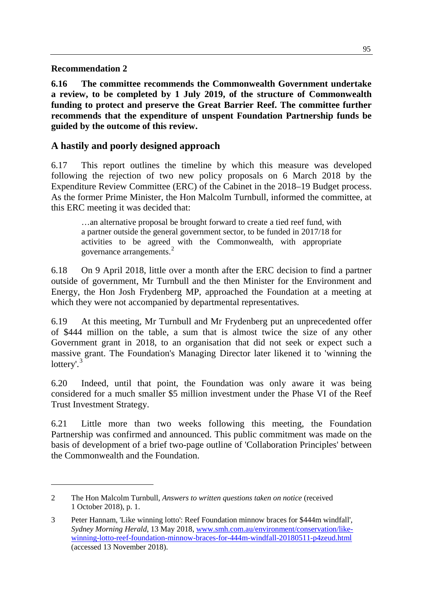#### **Recommendation 2**

-

**6.16 The committee recommends the Commonwealth Government undertake a review, to be completed by 1 July 2019, of the structure of Commonwealth funding to protect and preserve the Great Barrier Reef. The committee further recommends that the expenditure of unspent Foundation Partnership funds be guided by the outcome of this review.**

## **A hastily and poorly designed approach**

6.17 This report outlines the timeline by which this measure was developed following the rejection of two new policy proposals on 6 March 2018 by the Expenditure Review Committee (ERC) of the Cabinet in the 2018–19 Budget process. As the former Prime Minister, the Hon Malcolm Turnbull, informed the committee, at this ERC meeting it was decided that:

…an alternative proposal be brought forward to create a tied reef fund, with a partner outside the general government sector, to be funded in 2017/18 for activities to be agreed with the Commonwealth, with appropriate governance arrangements.<sup>[2](#page-2-0)</sup>

6.18 On 9 April 2018, little over a month after the ERC decision to find a partner outside of government, Mr Turnbull and the then Minister for the Environment and Energy, the Hon Josh Frydenberg MP, approached the Foundation at a meeting at which they were not accompanied by departmental representatives.

6.19 At this meeting, Mr Turnbull and Mr Frydenberg put an unprecedented offer of \$444 million on the table, a sum that is almost twice the size of any other Government grant in 2018, to an organisation that did not seek or expect such a massive grant. The Foundation's Managing Director later likened it to 'winning the lottery'.<sup>[3](#page-2-1)</sup>

6.20 Indeed, until that point, the Foundation was only aware it was being considered for a much smaller \$5 million investment under the Phase VI of the Reef Trust Investment Strategy.

6.21 Little more than two weeks following this meeting, the Foundation Partnership was confirmed and announced. This public commitment was made on the basis of development of a brief two-page outline of 'Collaboration Principles' between the Commonwealth and the Foundation.

<span id="page-2-0"></span><sup>2</sup> The Hon Malcolm Turnbull, *Answers to written questions taken on notice* (received 1 October 2018), p. 1.

<span id="page-2-1"></span><sup>3</sup> Peter Hannam, 'Like winning lotto': Reef Foundation minnow braces for \$444m windfall', *Sydney Morning Herald*, 13 May 2018, [www.smh.com.au/environment/conservation/like](http://www.smh.com.au/environment/conservation/like-winning-lotto-reef-foundation-minnow-braces-for-444m-windfall-20180511-p4zeud.html)[winning-lotto-reef-foundation-minnow-braces-for-444m-windfall-20180511-p4zeud.html](http://www.smh.com.au/environment/conservation/like-winning-lotto-reef-foundation-minnow-braces-for-444m-windfall-20180511-p4zeud.html) (accessed 13 November 2018).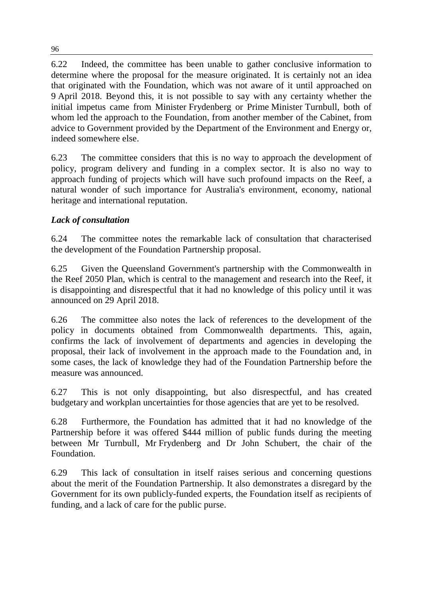6.22 Indeed, the committee has been unable to gather conclusive information to determine where the proposal for the measure originated. It is certainly not an idea that originated with the Foundation, which was not aware of it until approached on 9 April 2018. Beyond this, it is not possible to say with any certainty whether the initial impetus came from Minister Frydenberg or Prime Minister Turnbull, both of whom led the approach to the Foundation, from another member of the Cabinet, from advice to Government provided by the Department of the Environment and Energy or, indeed somewhere else.

6.23 The committee considers that this is no way to approach the development of policy, program delivery and funding in a complex sector. It is also no way to approach funding of projects which will have such profound impacts on the Reef, a natural wonder of such importance for Australia's environment, economy, national heritage and international reputation.

## *Lack of consultation*

6.24 The committee notes the remarkable lack of consultation that characterised the development of the Foundation Partnership proposal.

6.25 Given the Queensland Government's partnership with the Commonwealth in the Reef 2050 Plan, which is central to the management and research into the Reef, it is disappointing and disrespectful that it had no knowledge of this policy until it was announced on 29 April 2018.

6.26 The committee also notes the lack of references to the development of the policy in documents obtained from Commonwealth departments. This, again, confirms the lack of involvement of departments and agencies in developing the proposal, their lack of involvement in the approach made to the Foundation and, in some cases, the lack of knowledge they had of the Foundation Partnership before the measure was announced.

6.27 This is not only disappointing, but also disrespectful, and has created budgetary and workplan uncertainties for those agencies that are yet to be resolved.

6.28 Furthermore, the Foundation has admitted that it had no knowledge of the Partnership before it was offered \$444 million of public funds during the meeting between Mr Turnbull, Mr Frydenberg and Dr John Schubert, the chair of the Foundation.

6.29 This lack of consultation in itself raises serious and concerning questions about the merit of the Foundation Partnership. It also demonstrates a disregard by the Government for its own publicly-funded experts, the Foundation itself as recipients of funding, and a lack of care for the public purse.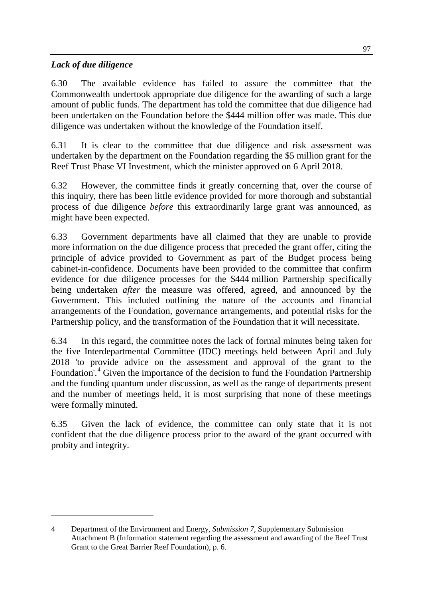#### *Lack of due diligence*

-

6.30 The available evidence has failed to assure the committee that the Commonwealth undertook appropriate due diligence for the awarding of such a large amount of public funds. The department has told the committee that due diligence had been undertaken on the Foundation before the \$444 million offer was made. This due diligence was undertaken without the knowledge of the Foundation itself.

6.31 It is clear to the committee that due diligence and risk assessment was undertaken by the department on the Foundation regarding the \$5 million grant for the Reef Trust Phase VI Investment, which the minister approved on 6 April 2018.

6.32 However, the committee finds it greatly concerning that, over the course of this inquiry, there has been little evidence provided for more thorough and substantial process of due diligence *before* this extraordinarily large grant was announced, as might have been expected.

6.33 Government departments have all claimed that they are unable to provide more information on the due diligence process that preceded the grant offer, citing the principle of advice provided to Government as part of the Budget process being cabinet-in-confidence. Documents have been provided to the committee that confirm evidence for due diligence processes for the \$444 million Partnership specifically being undertaken *after* the measure was offered, agreed, and announced by the Government. This included outlining the nature of the accounts and financial arrangements of the Foundation, governance arrangements, and potential risks for the Partnership policy, and the transformation of the Foundation that it will necessitate.

6.34 In this regard, the committee notes the lack of formal minutes being taken for the five Interdepartmental Committee (IDC) meetings held between April and July 2018 'to provide advice on the assessment and approval of the grant to the Foundation'.<sup>[4](#page-4-0)</sup> Given the importance of the decision to fund the Foundation Partnership and the funding quantum under discussion, as well as the range of departments present and the number of meetings held, it is most surprising that none of these meetings were formally minuted.

6.35 Given the lack of evidence, the committee can only state that it is not confident that the due diligence process prior to the award of the grant occurred with probity and integrity.

<span id="page-4-0"></span><sup>4</sup> Department of the Environment and Energy, *Submission 7*, Supplementary Submission Attachment B (Information statement regarding the assessment and awarding of the Reef Trust Grant to the Great Barrier Reef Foundation), p. 6.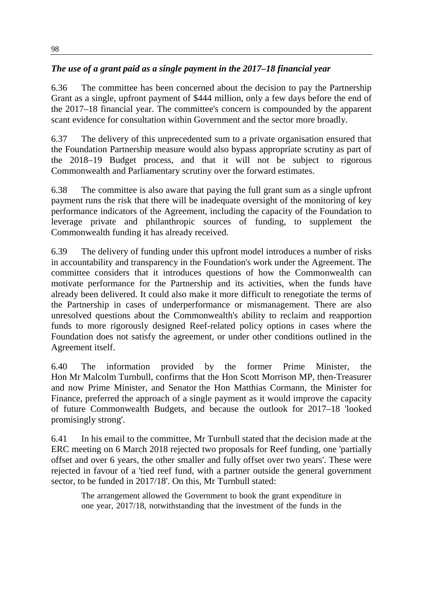## *The use of a grant paid as a single payment in the 2017–18 financial year*

6.36 The committee has been concerned about the decision to pay the Partnership Grant as a single, upfront payment of \$444 million, only a few days before the end of the 2017–18 financial year. The committee's concern is compounded by the apparent scant evidence for consultation within Government and the sector more broadly.

6.37 The delivery of this unprecedented sum to a private organisation ensured that the Foundation Partnership measure would also bypass appropriate scrutiny as part of the 2018–19 Budget process, and that it will not be subject to rigorous Commonwealth and Parliamentary scrutiny over the forward estimates.

6.38 The committee is also aware that paying the full grant sum as a single upfront payment runs the risk that there will be inadequate oversight of the monitoring of key performance indicators of the Agreement, including the capacity of the Foundation to leverage private and philanthropic sources of funding, to supplement the Commonwealth funding it has already received.

6.39 The delivery of funding under this upfront model introduces a number of risks in accountability and transparency in the Foundation's work under the Agreement. The committee considers that it introduces questions of how the Commonwealth can motivate performance for the Partnership and its activities, when the funds have already been delivered. It could also make it more difficult to renegotiate the terms of the Partnership in cases of underperformance or mismanagement. There are also unresolved questions about the Commonwealth's ability to reclaim and reapportion funds to more rigorously designed Reef-related policy options in cases where the Foundation does not satisfy the agreement, or under other conditions outlined in the Agreement itself.

6.40 The information provided by the former Prime Minister, the Hon Mr Malcolm Turnbull, confirms that the Hon Scott Morrison MP, then-Treasurer and now Prime Minister, and Senator the Hon Matthias Cormann, the Minister for Finance, preferred the approach of a single payment as it would improve the capacity of future Commonwealth Budgets, and because the outlook for 2017–18 'looked promisingly strong'.

6.41 In his email to the committee, Mr Turnbull stated that the decision made at the ERC meeting on 6 March 2018 rejected two proposals for Reef funding, one 'partially offset and over 6 years, the other smaller and fully offset over two years'. These were rejected in favour of a 'tied reef fund, with a partner outside the general government sector, to be funded in 2017/18'. On this, Mr Turnbull stated:

The arrangement allowed the Government to book the grant expenditure in one year, 2017/18, notwithstanding that the investment of the funds in the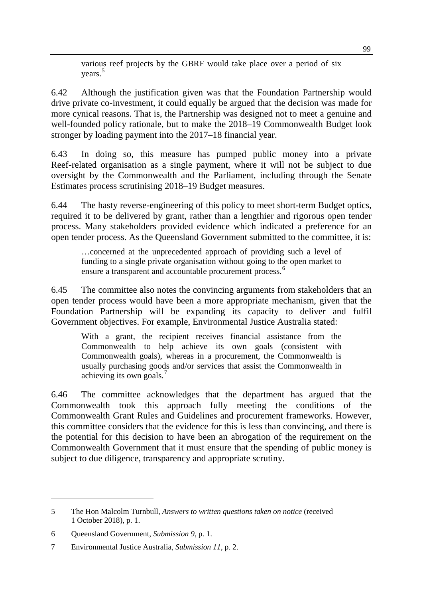various reef projects by the GBRF would take place over a period of six years.<sup>[5](#page-6-0)</sup>

6.42 Although the justification given was that the Foundation Partnership would drive private co-investment, it could equally be argued that the decision was made for more cynical reasons. That is, the Partnership was designed not to meet a genuine and well-founded policy rationale, but to make the 2018–19 Commonwealth Budget look stronger by loading payment into the 2017–18 financial year.

6.43 In doing so, this measure has pumped public money into a private Reef-related organisation as a single payment, where it will not be subject to due oversight by the Commonwealth and the Parliament, including through the Senate Estimates process scrutinising 2018–19 Budget measures.

6.44 The hasty reverse-engineering of this policy to meet short-term Budget optics, required it to be delivered by grant, rather than a lengthier and rigorous open tender process. Many stakeholders provided evidence which indicated a preference for an open tender process. As the Queensland Government submitted to the committee, it is:

…concerned at the unprecedented approach of providing such a level of funding to a single private organisation without going to the open market to ensure a transparent and accountable procurement process.<sup>[6](#page-6-1)</sup>

6.45 The committee also notes the convincing arguments from stakeholders that an open tender process would have been a more appropriate mechanism, given that the Foundation Partnership will be expanding its capacity to deliver and fulfil Government objectives. For example, Environmental Justice Australia stated:

With a grant, the recipient receives financial assistance from the Commonwealth to help achieve its own goals (consistent with Commonwealth goals), whereas in a procurement, the Commonwealth is usually purchasing goods and/or services that assist the Commonwealth in achieving its own goals.<sup>[7](#page-6-2)</sup>

6.46 The committee acknowledges that the department has argued that the Commonwealth took this approach fully meeting the conditions of the Commonwealth Grant Rules and Guidelines and procurement frameworks. However, this committee considers that the evidence for this is less than convincing, and there is the potential for this decision to have been an abrogation of the requirement on the Commonwealth Government that it must ensure that the spending of public money is subject to due diligence, transparency and appropriate scrutiny.

<span id="page-6-0"></span><sup>5</sup> The Hon Malcolm Turnbull, *Answers to written questions taken on notice* (received 1 October 2018), p. 1.

<span id="page-6-1"></span><sup>6</sup> Queensland Government, *Submission 9*, p. 1.

<span id="page-6-2"></span><sup>7</sup> Environmental Justice Australia, *Submission 11*, p. 2.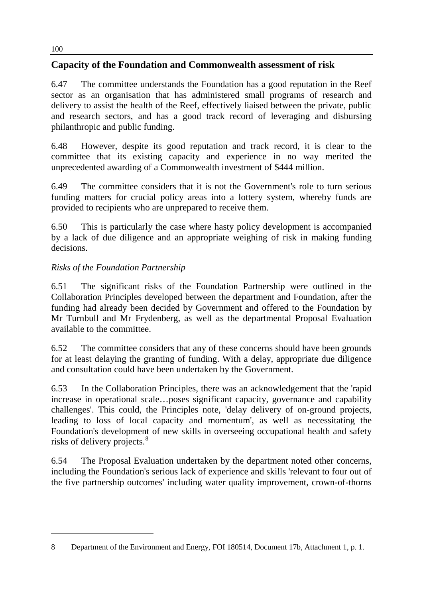## **Capacity of the Foundation and Commonwealth assessment of risk**

6.47 The committee understands the Foundation has a good reputation in the Reef sector as an organisation that has administered small programs of research and delivery to assist the health of the Reef, effectively liaised between the private, public and research sectors, and has a good track record of leveraging and disbursing philanthropic and public funding.

6.48 However, despite its good reputation and track record, it is clear to the committee that its existing capacity and experience in no way merited the unprecedented awarding of a Commonwealth investment of \$444 million.

6.49 The committee considers that it is not the Government's role to turn serious funding matters for crucial policy areas into a lottery system, whereby funds are provided to recipients who are unprepared to receive them.

6.50 This is particularly the case where hasty policy development is accompanied by a lack of due diligence and an appropriate weighing of risk in making funding decisions.

## *Risks of the Foundation Partnership*

6.51 The significant risks of the Foundation Partnership were outlined in the Collaboration Principles developed between the department and Foundation, after the funding had already been decided by Government and offered to the Foundation by Mr Turnbull and Mr Frydenberg, as well as the departmental Proposal Evaluation available to the committee.

6.52 The committee considers that any of these concerns should have been grounds for at least delaying the granting of funding. With a delay, appropriate due diligence and consultation could have been undertaken by the Government.

6.53 In the Collaboration Principles, there was an acknowledgement that the 'rapid increase in operational scale…poses significant capacity, governance and capability challenges'. This could, the Principles note, 'delay delivery of on-ground projects, leading to loss of local capacity and momentum', as well as necessitating the Foundation's development of new skills in overseeing occupational health and safety risks of delivery projects.<sup>[8](#page-7-0)</sup>

6.54 The Proposal Evaluation undertaken by the department noted other concerns, including the Foundation's serious lack of experience and skills 'relevant to four out of the five partnership outcomes' including water quality improvement, crown-of-thorns

<span id="page-7-0"></span><sup>8</sup> Department of the Environment and Energy, FOI 180514, Document 17b, Attachment 1, p. 1.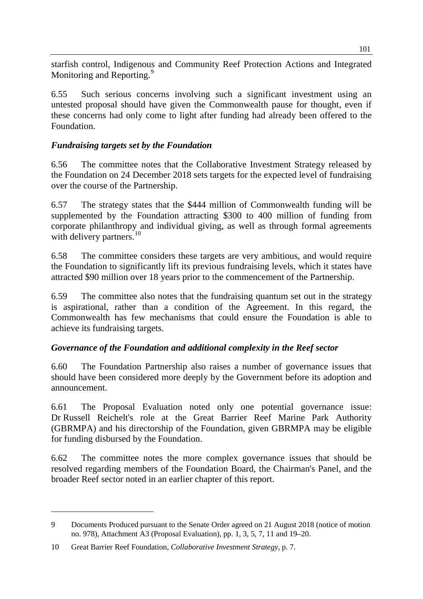starfish control, Indigenous and Community Reef Protection Actions and Integrated Monitoring and Reporting.<sup>[9](#page-8-0)</sup>

6.55 Such serious concerns involving such a significant investment using an untested proposal should have given the Commonwealth pause for thought, even if these concerns had only come to light after funding had already been offered to the Foundation.

## *Fundraising targets set by the Foundation*

6.56 The committee notes that the Collaborative Investment Strategy released by the Foundation on 24 December 2018 sets targets for the expected level of fundraising over the course of the Partnership.

6.57 The strategy states that the \$444 million of Commonwealth funding will be supplemented by the Foundation attracting \$300 to 400 million of funding from corporate philanthropy and individual giving, as well as through formal agreements with delivery partners.<sup>[10](#page-8-1)</sup>

6.58 The committee considers these targets are very ambitious, and would require the Foundation to significantly lift its previous fundraising levels, which it states have attracted \$90 million over 18 years prior to the commencement of the Partnership.

6.59 The committee also notes that the fundraising quantum set out in the strategy is aspirational, rather than a condition of the Agreement. In this regard, the Commonwealth has few mechanisms that could ensure the Foundation is able to achieve its fundraising targets.

## *Governance of the Foundation and additional complexity in the Reef sector*

6.60 The Foundation Partnership also raises a number of governance issues that should have been considered more deeply by the Government before its adoption and announcement.

6.61 The Proposal Evaluation noted only one potential governance issue: Dr Russell Reichelt's role at the Great Barrier Reef Marine Park Authority (GBRMPA) and his directorship of the Foundation, given GBRMPA may be eligible for funding disbursed by the Foundation.

6.62 The committee notes the more complex governance issues that should be resolved regarding members of the Foundation Board, the Chairman's Panel, and the broader Reef sector noted in an earlier chapter of this report.

<span id="page-8-0"></span><sup>9</sup> Documents Produced pursuant to the Senate Order agreed on 21 August 2018 (notice of motion no. 978), Attachment A3 (Proposal Evaluation), pp. 1, 3, 5, 7, 11 and 19–20.

<span id="page-8-1"></span><sup>10</sup> Great Barrier Reef Foundation, *Collaborative Investment Strategy*, p. 7.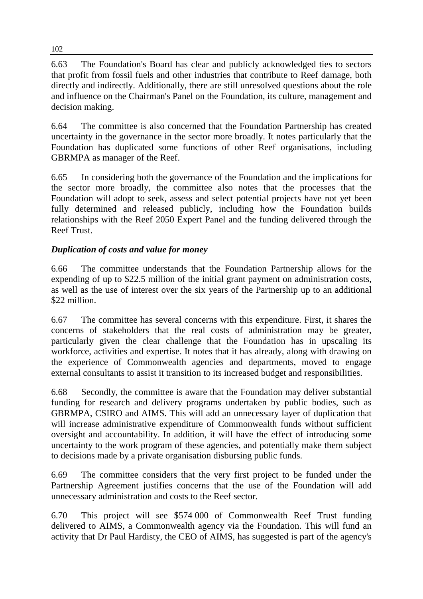6.63 The Foundation's Board has clear and publicly acknowledged ties to sectors that profit from fossil fuels and other industries that contribute to Reef damage, both directly and indirectly. Additionally, there are still unresolved questions about the role and influence on the Chairman's Panel on the Foundation, its culture, management and decision making.

6.64 The committee is also concerned that the Foundation Partnership has created uncertainty in the governance in the sector more broadly. It notes particularly that the Foundation has duplicated some functions of other Reef organisations, including GBRMPA as manager of the Reef.

6.65 In considering both the governance of the Foundation and the implications for the sector more broadly, the committee also notes that the processes that the Foundation will adopt to seek, assess and select potential projects have not yet been fully determined and released publicly, including how the Foundation builds relationships with the Reef 2050 Expert Panel and the funding delivered through the Reef Trust.

## *Duplication of costs and value for money*

6.66 The committee understands that the Foundation Partnership allows for the expending of up to \$22.5 million of the initial grant payment on administration costs, as well as the use of interest over the six years of the Partnership up to an additional \$22 million.

6.67 The committee has several concerns with this expenditure. First, it shares the concerns of stakeholders that the real costs of administration may be greater, particularly given the clear challenge that the Foundation has in upscaling its workforce, activities and expertise. It notes that it has already, along with drawing on the experience of Commonwealth agencies and departments, moved to engage external consultants to assist it transition to its increased budget and responsibilities.

6.68 Secondly, the committee is aware that the Foundation may deliver substantial funding for research and delivery programs undertaken by public bodies, such as GBRMPA, CSIRO and AIMS. This will add an unnecessary layer of duplication that will increase administrative expenditure of Commonwealth funds without sufficient oversight and accountability. In addition, it will have the effect of introducing some uncertainty to the work program of these agencies, and potentially make them subject to decisions made by a private organisation disbursing public funds.

6.69 The committee considers that the very first project to be funded under the Partnership Agreement justifies concerns that the use of the Foundation will add unnecessary administration and costs to the Reef sector.

6.70 This project will see \$574 000 of Commonwealth Reef Trust funding delivered to AIMS, a Commonwealth agency via the Foundation. This will fund an activity that Dr Paul Hardisty, the CEO of AIMS, has suggested is part of the agency's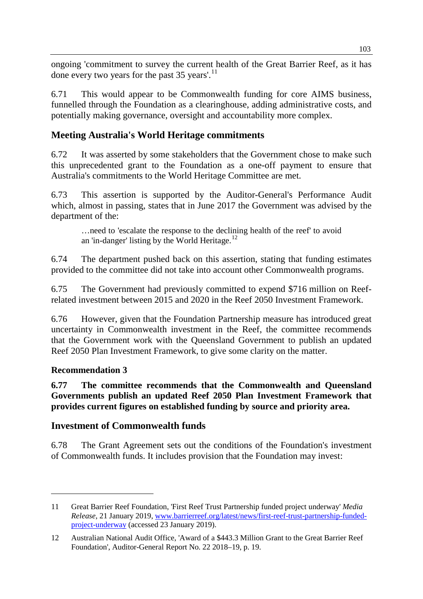ongoing 'commitment to survey the current health of the Great Barrier Reef, as it has done every two years for the past  $35$  years'.<sup>[11](#page-10-0)</sup>

6.71 This would appear to be Commonwealth funding for core AIMS business, funnelled through the Foundation as a clearinghouse, adding administrative costs, and potentially making governance, oversight and accountability more complex.

## **Meeting Australia's World Heritage commitments**

6.72 It was asserted by some stakeholders that the Government chose to make such this unprecedented grant to the Foundation as a one-off payment to ensure that Australia's commitments to the World Heritage Committee are met.

6.73 This assertion is supported by the Auditor-General's Performance Audit which, almost in passing, states that in June 2017 the Government was advised by the department of the:

…need to 'escalate the response to the declining health of the reef' to avoid an 'in-danger' listing by the World Heritage.<sup>[12](#page-10-1)</sup>

6.74 The department pushed back on this assertion, stating that funding estimates provided to the committee did not take into account other Commonwealth programs.

6.75 The Government had previously committed to expend \$716 million on Reefrelated investment between 2015 and 2020 in the Reef 2050 Investment Framework.

6.76 However, given that the Foundation Partnership measure has introduced great uncertainty in Commonwealth investment in the Reef, the committee recommends that the Government work with the Queensland Government to publish an updated Reef 2050 Plan Investment Framework, to give some clarity on the matter.

## **Recommendation 3**

-

**6.77 The committee recommends that the Commonwealth and Queensland Governments publish an updated Reef 2050 Plan Investment Framework that provides current figures on established funding by source and priority area.**

## **Investment of Commonwealth funds**

6.78 The Grant Agreement sets out the conditions of the Foundation's investment of Commonwealth funds. It includes provision that the Foundation may invest:

<span id="page-10-0"></span><sup>11</sup> Great Barrier Reef Foundation, 'First Reef Trust Partnership funded project underway' *Media Release*, 21 January 2019, [www.barrierreef.org/latest/news/first-reef-trust-partnership-funded](http://www.barrierreef.org/latest/news/first-reef-trust-partnership-funded-project-underway)[project-underway](http://www.barrierreef.org/latest/news/first-reef-trust-partnership-funded-project-underway) (accessed 23 January 2019).

<span id="page-10-1"></span><sup>12</sup> Australian National Audit Office, 'Award of a \$443.3 Million Grant to the Great Barrier Reef Foundation', Auditor-General Report No. 22 2018–19, p. 19.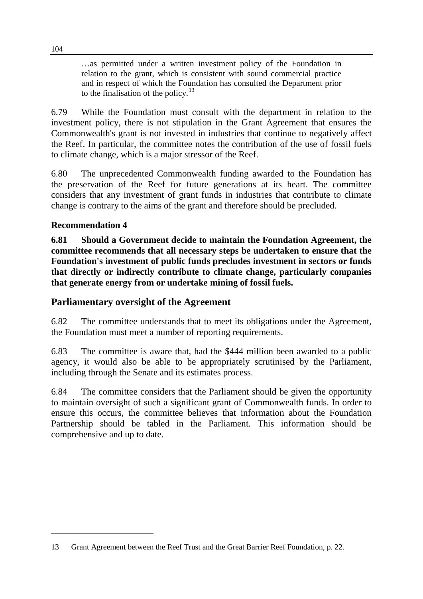…as permitted under a written investment policy of the Foundation in relation to the grant, which is consistent with sound commercial practice and in respect of which the Foundation has consulted the Department prior to the finalisation of the policy. $13$ 

6.79 While the Foundation must consult with the department in relation to the investment policy, there is not stipulation in the Grant Agreement that ensures the Commonwealth's grant is not invested in industries that continue to negatively affect the Reef. In particular, the committee notes the contribution of the use of fossil fuels to climate change, which is a major stressor of the Reef.

6.80 The unprecedented Commonwealth funding awarded to the Foundation has the preservation of the Reef for future generations at its heart. The committee considers that any investment of grant funds in industries that contribute to climate change is contrary to the aims of the grant and therefore should be precluded.

## **Recommendation 4**

-

**6.81 Should a Government decide to maintain the Foundation Agreement, the committee recommends that all necessary steps be undertaken to ensure that the Foundation's investment of public funds precludes investment in sectors or funds that directly or indirectly contribute to climate change, particularly companies that generate energy from or undertake mining of fossil fuels.**

#### **Parliamentary oversight of the Agreement**

6.82 The committee understands that to meet its obligations under the Agreement, the Foundation must meet a number of reporting requirements.

6.83 The committee is aware that, had the \$444 million been awarded to a public agency, it would also be able to be appropriately scrutinised by the Parliament, including through the Senate and its estimates process.

6.84 The committee considers that the Parliament should be given the opportunity to maintain oversight of such a significant grant of Commonwealth funds. In order to ensure this occurs, the committee believes that information about the Foundation Partnership should be tabled in the Parliament. This information should be comprehensive and up to date.

<span id="page-11-0"></span><sup>13</sup> Grant Agreement between the Reef Trust and the Great Barrier Reef Foundation, p. 22.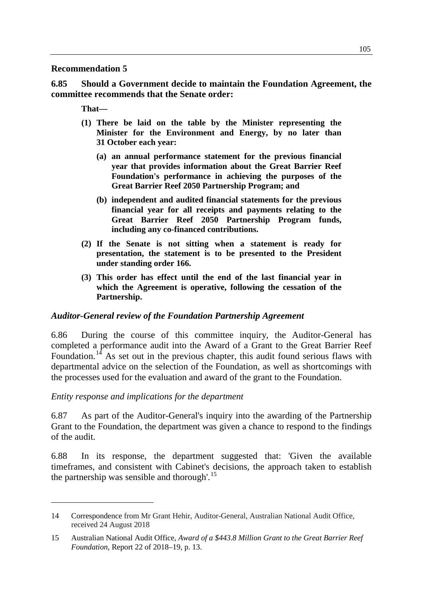#### **Recommendation 5**

**6.85 Should a Government decide to maintain the Foundation Agreement, the committee recommends that the Senate order:**

**That—**

- **(1) There be laid on the table by the Minister representing the Minister for the Environment and Energy, by no later than 31 October each year:**
	- **(a) an annual performance statement for the previous financial year that provides information about the Great Barrier Reef Foundation's performance in achieving the purposes of the Great Barrier Reef 2050 Partnership Program; and**
	- **(b) independent and audited financial statements for the previous financial year for all receipts and payments relating to the Great Barrier Reef 2050 Partnership Program funds, including any co-financed contributions.**
- **(2) If the Senate is not sitting when a statement is ready for presentation, the statement is to be presented to the President under standing order 166.**
- **(3) This order has effect until the end of the last financial year in which the Agreement is operative, following the cessation of the Partnership.**

#### *Auditor-General review of the Foundation Partnership Agreement*

6.86 During the course of this committee inquiry, the Auditor-General has completed a performance audit into the Award of a Grant to the Great Barrier Reef Foundation.<sup>[14](#page-12-0)</sup> As set out in the previous chapter, this audit found serious flaws with departmental advice on the selection of the Foundation, as well as shortcomings with the processes used for the evaluation and award of the grant to the Foundation.

#### *Entity response and implications for the department*

-

6.87 As part of the Auditor-General's inquiry into the awarding of the Partnership Grant to the Foundation, the department was given a chance to respond to the findings of the audit.

6.88 In its response, the department suggested that: 'Given the available timeframes, and consistent with Cabinet's decisions, the approach taken to establish the partnership was sensible and thorough'.<sup>[15](#page-12-1)</sup>

<span id="page-12-0"></span><sup>14</sup> Correspondence from Mr Grant Hehir, Auditor-General, Australian National Audit Office, received 24 August 2018

<span id="page-12-1"></span><sup>15</sup> Australian National Audit Office, *Award of a \$443.8 Million Grant to the Great Barrier Reef Foundation*, Report 22 of 2018–19, p. 13.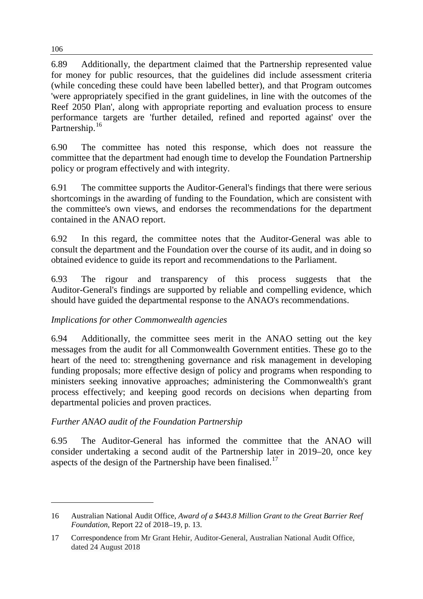6.89 Additionally, the department claimed that the Partnership represented value for money for public resources, that the guidelines did include assessment criteria (while conceding these could have been labelled better), and that Program outcomes 'were appropriately specified in the grant guidelines, in line with the outcomes of the Reef 2050 Plan', along with appropriate reporting and evaluation process to ensure performance targets are 'further detailed, refined and reported against' over the Partnership.<sup>[16](#page-13-0)</sup>

6.90 The committee has noted this response, which does not reassure the committee that the department had enough time to develop the Foundation Partnership policy or program effectively and with integrity.

6.91 The committee supports the Auditor-General's findings that there were serious shortcomings in the awarding of funding to the Foundation, which are consistent with the committee's own views, and endorses the recommendations for the department contained in the ANAO report.

6.92 In this regard, the committee notes that the Auditor-General was able to consult the department and the Foundation over the course of its audit, and in doing so obtained evidence to guide its report and recommendations to the Parliament.

6.93 The rigour and transparency of this process suggests that the Auditor-General's findings are supported by reliable and compelling evidence, which should have guided the departmental response to the ANAO's recommendations.

## *Implications for other Commonwealth agencies*

6.94 Additionally, the committee sees merit in the ANAO setting out the key messages from the audit for all Commonwealth Government entities. These go to the heart of the need to: strengthening governance and risk management in developing funding proposals; more effective design of policy and programs when responding to ministers seeking innovative approaches; administering the Commonwealth's grant process effectively; and keeping good records on decisions when departing from departmental policies and proven practices.

## *Further ANAO audit of the Foundation Partnership*

6.95 The Auditor-General has informed the committee that the ANAO will consider undertaking a second audit of the Partnership later in 2019–20, once key aspects of the design of the Partnership have been finalised.<sup>[17](#page-13-1)</sup>

<span id="page-13-0"></span><sup>16</sup> Australian National Audit Office, *Award of a \$443.8 Million Grant to the Great Barrier Reef Foundation*, Report 22 of 2018–19, p. 13.

<span id="page-13-1"></span><sup>17</sup> Correspondence from Mr Grant Hehir, Auditor-General, Australian National Audit Office, dated 24 August 2018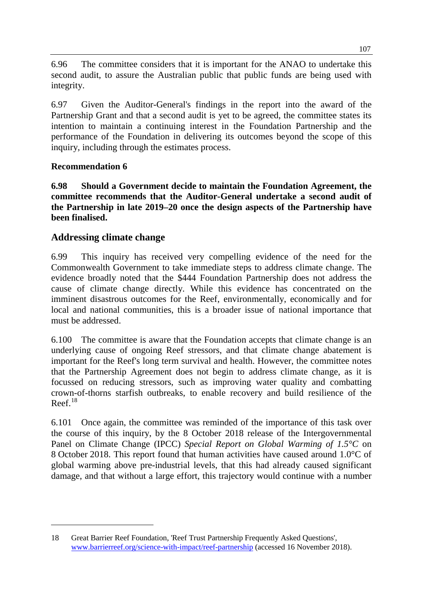6.96 The committee considers that it is important for the ANAO to undertake this second audit, to assure the Australian public that public funds are being used with integrity.

6.97 Given the Auditor-General's findings in the report into the award of the Partnership Grant and that a second audit is yet to be agreed, the committee states its intention to maintain a continuing interest in the Foundation Partnership and the performance of the Foundation in delivering its outcomes beyond the scope of this inquiry, including through the estimates process.

#### **Recommendation 6**

-

**6.98 Should a Government decide to maintain the Foundation Agreement, the committee recommends that the Auditor-General undertake a second audit of the Partnership in late 2019–20 once the design aspects of the Partnership have been finalised.**

#### **Addressing climate change**

6.99 This inquiry has received very compelling evidence of the need for the Commonwealth Government to take immediate steps to address climate change. The evidence broadly noted that the \$444 Foundation Partnership does not address the cause of climate change directly. While this evidence has concentrated on the imminent disastrous outcomes for the Reef, environmentally, economically and for local and national communities, this is a broader issue of national importance that must be addressed.

6.100 The committee is aware that the Foundation accepts that climate change is an underlying cause of ongoing Reef stressors, and that climate change abatement is important for the Reef's long term survival and health. However, the committee notes that the Partnership Agreement does not begin to address climate change, as it is focussed on reducing stressors, such as improving water quality and combatting crown-of-thorns starfish outbreaks, to enable recovery and build resilience of the  $Reef$ <sup>[18](#page-14-0)</sup>

6.101 Once again, the committee was reminded of the importance of this task over the course of this inquiry, by the 8 October 2018 release of the Intergovernmental Panel on Climate Change (IPCC) *Special Report on Global Warming of 1.5°C* on 8 October 2018. This report found that human activities have caused around 1.0°C of global warming above pre-industrial levels, that this had already caused significant damage, and that without a large effort, this trajectory would continue with a number

<span id="page-14-0"></span><sup>18</sup> Great Barrier Reef Foundation, 'Reef Trust Partnership Frequently Asked Questions', [www.barrierreef.org/science-with-impact/reef-partnership](http://www.barrierreef.org/science-with-impact/reef-partnership) (accessed 16 November 2018).